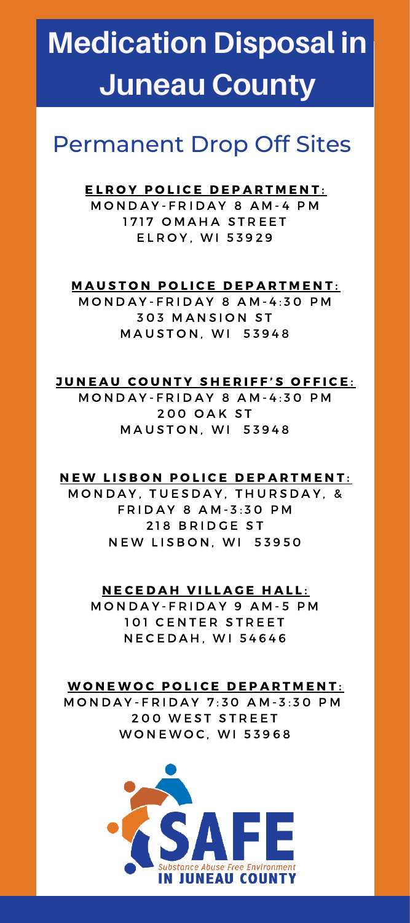# **Medication Disposal in Juneau County**

# Permanent Drop Off Sites

# ELROY POLICE DEPARTMENT:

MONDAY-FRIDAY 8 AM-4 PM 1717 OMAHA STREET **ELROY. WI 53929** 

## **MAUSTON POLICE DEPARTMENT:**

MONDAY-FRIDAY 8 AM-4:30 PM **303 MANSION ST MAUSTON, WI 53948** 

## JUNEAU COUNTY SHERIFF'S OFFICE:

MONDAY-FRIDAY 8 AM-4:30 PM **200 OAK ST MAUSTON, WI 53948** 

#### NEW LISBON POLICE DEPARTMENT:

MONDAY, TUESDAY, THURSDAY, & FRIDAY 8 AM-3:30 PM 218 BRIDGE ST **NEW LISBON, WI 53950** 

#### N E CEDAH VILLAGE HALL:

MONDAY-FRIDAY 9 AM-5 PM 101 CENTER STREET **NECEDAH, WI 54646** 

#### WONEWOC POLICE DEPARTMENT:

M O N D A Y - F R I D A Y 7 : 3 0 A M - 3 : 3 0 P M 200 WEST STREET WON E WOC, WI 53968